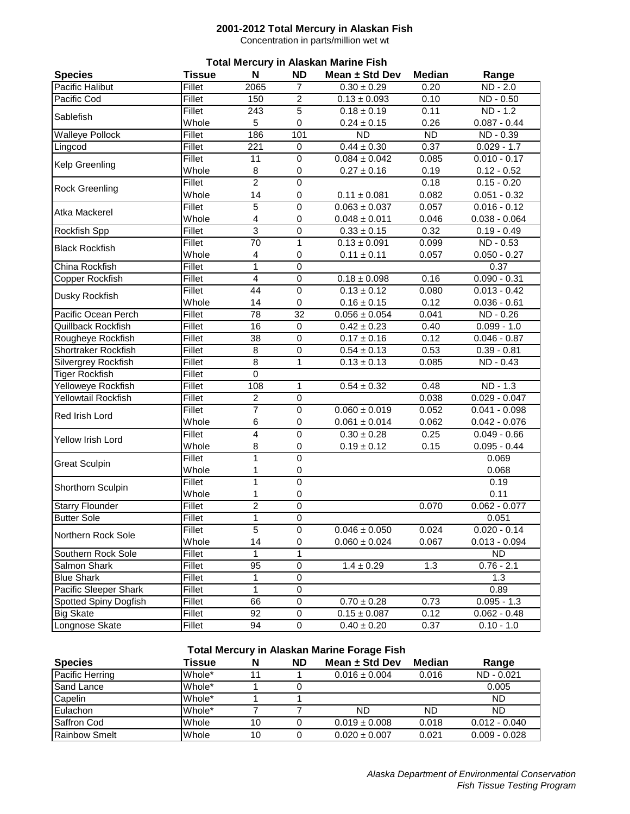#### **2001-2012 Total Mercury in Alaskan Fish**

Concentration in parts/million wet wt

| <b>Total Mercury in Alaskan Marine Fish</b> |               |                |                  |                        |               |                 |  |  |
|---------------------------------------------|---------------|----------------|------------------|------------------------|---------------|-----------------|--|--|
| <b>Species</b>                              | <b>Tissue</b> | N              | <b>ND</b>        | Mean ± Std Dev         | <b>Median</b> | Range           |  |  |
| Pacific Halibut                             | Fillet        | 2065           | $\overline{7}$   | $0.30 \pm 0.29$        | 0.20          | ND - 2.0        |  |  |
| Pacific Cod                                 | Fillet        | 150            | $\boldsymbol{2}$ | $0.13 \pm 0.093$       | 0.10          | ND - 0.50       |  |  |
| Sablefish                                   | <b>Fillet</b> | 243            | 5                | $0.18 \pm 0.19$        | 0.11          | ND - 1.2        |  |  |
|                                             | Whole         | 5              | 0                | $0.24 \pm 0.15$        | 0.26          | $0.087 - 0.44$  |  |  |
| <b>Walleye Pollock</b>                      | Fillet        | 186            | 101              | <b>ND</b>              | <b>ND</b>     | ND - 0.39       |  |  |
| Lingcod                                     | Fillet        | 221            | 0                | $0.44 \pm 0.30$        | 0.37          | $0.029 - 1.7$   |  |  |
| Kelp Greenling                              | <b>Fillet</b> | 11             | $\mathbf 0$      | $0.084 \pm 0.042$      | 0.085         | $0.010 - 0.17$  |  |  |
|                                             | Whole         | 8              | 0                | $0.27 \pm 0.16$        | 0.19          | $0.12 - 0.52$   |  |  |
| <b>Rock Greenling</b>                       | <b>Fillet</b> | $\overline{2}$ | $\pmb{0}$        |                        | 0.18          | $0.15 - 0.20$   |  |  |
|                                             | Whole         | 14             | $\pmb{0}$        | $0.11 \pm 0.081$       | 0.082         | $0.051 - 0.32$  |  |  |
| Atka Mackerel                               | <b>Fillet</b> | 5              | $\mathbf 0$      | $0.063 \pm 0.037$      | 0.057         | $0.016 - 0.12$  |  |  |
|                                             | Whole         | 4              | $\pmb{0}$        | $0.048 \pm 0.011$      | 0.046         | $0.038 - 0.064$ |  |  |
| Rockfish Spp                                | <b>Fillet</b> | $\overline{3}$ | $\mathbf 0$      | $0.33 \pm 0.15$        | 0.32          | $0.19 - 0.49$   |  |  |
| <b>Black Rockfish</b>                       | <b>Fillet</b> | 70             | $\mathbf{1}$     | $0.13 \pm 0.091$       | 0.099         | ND - 0.53       |  |  |
|                                             | Whole         | 4              | $\mathbf 0$      | $0.11 \pm 0.11$        | 0.057         | $0.050 - 0.27$  |  |  |
| <b>China Rockfish</b>                       | Fillet        | 1              | $\overline{0}$   |                        |               | 0.37            |  |  |
| Copper Rockfish                             | Fillet        | $\overline{4}$ | $\mathbf 0$      | $0.18 \pm 0.098$       | 0.16          | $0.090 - 0.31$  |  |  |
|                                             | Fillet        | 44             | $\mathbf 0$      | $0.13 \pm 0.12$        | 0.080         | $0.013 - 0.42$  |  |  |
| Dusky Rockfish                              | Whole         | 14             | $\mathbf 0$      | $0.16 \pm 0.15$        | 0.12          | $0.036 - 0.61$  |  |  |
| Pacific Ocean Perch                         | Fillet        | 78             | $\overline{32}$  | $0.056 \pm 0.054$      | 0.041         | ND - 0.26       |  |  |
| <b>Quillback Rockfish</b>                   | <b>Fillet</b> | 16             | $\pmb{0}$        | $0.42 \pm 0.23$        | 0.40          | $0.099 - 1.0$   |  |  |
| Rougheye Rockfish                           | Fillet        | 38             | $\mathbf 0$      | $0.17 \pm 0.16$        | 0.12          | $0.046 - 0.87$  |  |  |
| <b>Shortraker Rockfish</b>                  | Fillet        | 8              | $\pmb{0}$        | $0.54 \pm 0.13$        | 0.53          | $0.39 - 0.81$   |  |  |
| Silvergrey Rockfish                         | Fillet        | $\overline{8}$ | $\mathbf{1}$     | $0.13 \pm 0.13$        | 0.085         | ND - 0.43       |  |  |
| <b>Tiger Rockfish</b>                       | Fillet        | 0              |                  |                        |               |                 |  |  |
| Yelloweye Rockfish                          | Fillet        | 108            | 1                | $0.54 \pm 0.32$        | 0.48          | ND - 1.3        |  |  |
| Yellowtail Rockfish                         | Fillet        | $\overline{c}$ | $\mathbf 0$      |                        | 0.038         | $0.029 - 0.047$ |  |  |
|                                             | <b>Fillet</b> | $\overline{7}$ | $\pmb{0}$        | $0.060 \pm 0.019$      | 0.052         | $0.041 - 0.098$ |  |  |
| Red Irish Lord                              | Whole         | 6              | $\pmb{0}$        | $0.061 \pm 0.014$      | 0.062         | $0.042 - 0.076$ |  |  |
|                                             | <b>Fillet</b> | 4              | $\overline{0}$   | $0.30 \pm 0.28$        | 0.25          | $0.049 - 0.66$  |  |  |
| Yellow Irish Lord                           | Whole         | 8              | $\pmb{0}$        | $0.19 \pm 0.12$        | 0.15          | $0.095 - 0.44$  |  |  |
|                                             | <b>Fillet</b> | 1              | $\mathbf 0$      |                        |               | 0.069           |  |  |
| <b>Great Sculpin</b>                        | Whole         | 1              | 0                |                        |               | 0.068           |  |  |
|                                             | Fillet        | 1              | $\overline{0}$   |                        |               | 0.19            |  |  |
| Shorthorn Sculpin                           | Whole         | 1              | 0                |                        |               | 0.11            |  |  |
| <b>Starry Flounder</b>                      | Fillet        | $\overline{2}$ | $\mathbf 0$      |                        | 0.070         | $0.062 - 0.077$ |  |  |
| <b>Butter Sole</b>                          | <b>Fillet</b> | 1              | 0                |                        |               | 0.051           |  |  |
|                                             | Fillet        | $\overline{5}$ | $\mathbf 0$      | $0.046 \pm 0.050$      | 0.024         | $0.020 - 0.14$  |  |  |
| Northern Rock Sole                          | Whole         | 14             | 0                | $0.060 \pm 0.024$      | 0.067         | $0.013 - 0.094$ |  |  |
| Southern Rock Sole                          | Fillet        | 1              | 1                |                        |               | <b>ND</b>       |  |  |
| Salmon Shark                                | Fillet        | 95             | 0                | $1.4 \pm 0.29$         | 1.3           | $0.76 - 2.1$    |  |  |
| <b>Blue Shark</b>                           | Fillet        | 1              | $\pmb{0}$        |                        |               | 1.3             |  |  |
| Pacific Sleeper Shark                       | <b>Fillet</b> | 1              | $\pmb{0}$        |                        |               | 0.89            |  |  |
| Spotted Spiny Dogfish                       | Fillet        | 66             | $\pmb{0}$        | $0.70 \pm 0.28$        | 0.73          | $0.095 - 1.3$   |  |  |
| <b>Big Skate</b>                            | Fillet        | 92             | $\,0\,$          | $0.15 \pm 0.087$       | 0.12          | $0.062 - 0.48$  |  |  |
| Longnose Skate                              | <b>Fillet</b> | 94             | $\pmb{0}$        | $\sqrt{0.40} \pm 0.20$ | 0.37          | $0.10 - 1.0$    |  |  |

### **Total Mercury in Alaskan Marine Forage Fish**

| <b>Species</b>       | Tissue       | N  | <b>ND</b> | Mean $\pm$ Std Dev | Median | Range           |
|----------------------|--------------|----|-----------|--------------------|--------|-----------------|
| Pacific Herring      | IWhole*      | 11 |           | $0.016 \pm 0.004$  | 0.016  | ND - 0.021      |
| <b>Sand Lance</b>    | IWhole*      |    |           |                    |        | 0.005           |
| Capelin              | IWhole*      |    |           |                    |        | <b>ND</b>       |
| Eulachon             | Whole*       |    |           | ND                 | ND     | ND              |
| <b>Saffron Cod</b>   | <b>Whole</b> | 10 |           | $0.019 \pm 0.008$  | 0.018  | $0.012 - 0.040$ |
| <b>Rainbow Smelt</b> | Whole        | 10 |           | $0.020 \pm 0.007$  | 0.021  | $0.009 - 0.028$ |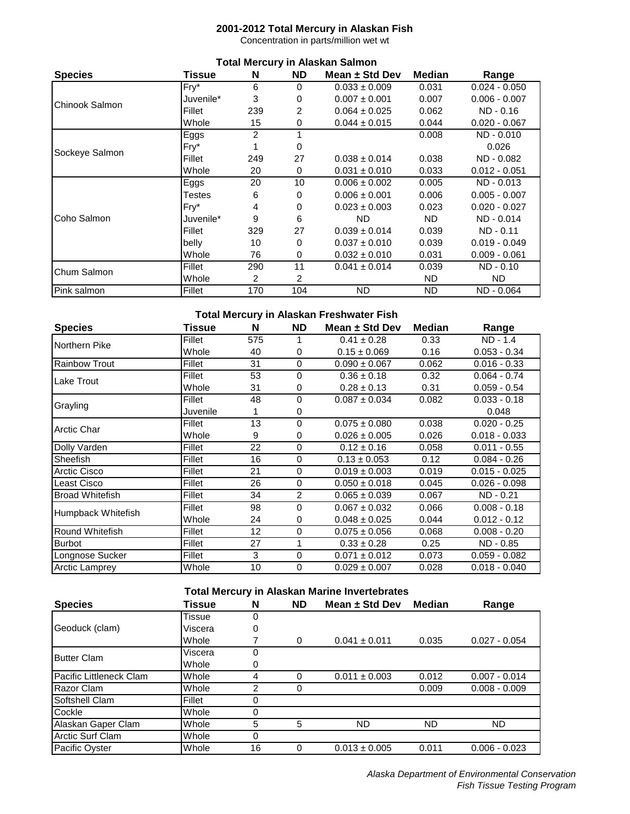# **2001-2012 Total Mercury in Alaskan Fish**

Concentration in parts/million wet wt

| <b>Total Mercury in Alaskan Salmon</b> |           |                |          |                    |        |                 |  |
|----------------------------------------|-----------|----------------|----------|--------------------|--------|-----------------|--|
| <b>Species</b>                         | Tissue    | N              | ND.      | Mean $\pm$ Std Dev | Median | Range           |  |
|                                        | Fry*      | 6              | $\Omega$ | $0.033 \pm 0.009$  | 0.031  | $0.024 - 0.050$ |  |
| Chinook Salmon                         | Juvenile* | 3              | 0        | $0.007 \pm 0.001$  | 0.007  | $0.006 - 0.007$ |  |
|                                        | Fillet    | 239            | 2        | $0.064 \pm 0.025$  | 0.062  | $ND - 0.16$     |  |
|                                        | Whole     | 15             | 0        | $0.044 \pm 0.015$  | 0.044  | $0.020 - 0.067$ |  |
|                                        | Eggs      | $\overline{2}$ |          |                    | 0.008  | ND - 0.010      |  |
|                                        | $Fry^*$   |                | 0        |                    |        | 0.026           |  |
| Sockeye Salmon                         | Fillet    | 249            | 27       | $0.038 \pm 0.014$  | 0.038  | ND - 0.082      |  |
|                                        | Whole     | 20             | 0        | $0.031 \pm 0.010$  | 0.033  | $0.012 - 0.051$ |  |
|                                        | Eggs      | 20             | 10       | $0.006 \pm 0.002$  | 0.005  | ND - 0.013      |  |
|                                        | Testes    | 6              | 0        | $0.006 \pm 0.001$  | 0.006  | $0.005 - 0.007$ |  |
|                                        | $Fry^*$   | 4              | 0        | $0.023 \pm 0.003$  | 0.023  | $0.020 - 0.027$ |  |
| Coho Salmon                            | Juvenile* | 9              | 6        | ND.                | ND.    | ND - 0.014      |  |
|                                        | Fillet    | 329            | 27       | $0.039 \pm 0.014$  | 0.039  | $ND - 0.11$     |  |
|                                        | belly     | 10             | 0        | $0.037 \pm 0.010$  | 0.039  | $0.019 - 0.049$ |  |
|                                        | Whole     | 76             | $\Omega$ | $0.032 \pm 0.010$  | 0.031  | $0.009 - 0.061$ |  |
| Chum Salmon                            | Fillet    | 290            | 11       | $0.041 \pm 0.014$  | 0.039  | $ND - 0.10$     |  |
|                                        | Whole     | 2              | 2        |                    | ND.    | <b>ND</b>       |  |
| Pink salmon                            | Fillet    | 170            | 104      | <b>ND</b>          | ND     | ND - 0.064      |  |

#### **Total Mercury in Alaskan Freshwater Fish**

| <b>Species</b>         | Tissue   | N               | ND.            | Mean $\pm$ Std Dev | <b>Median</b> | Range           |
|------------------------|----------|-----------------|----------------|--------------------|---------------|-----------------|
| Northern Pike          | Fillet   | 575             |                | $0.41 \pm 0.28$    | 0.33          | ND - 1.4        |
|                        | Whole    | 40              | 0              | $0.15 \pm 0.069$   | 0.16          | $0.053 - 0.34$  |
| <b>Rainbow Trout</b>   | Fillet   | 31              | 0              | $0.090 \pm 0.067$  | 0.062         | $0.016 - 0.33$  |
|                        | Fillet   | 53              | 0              | $0.36 \pm 0.18$    | 0.32          | $0.064 - 0.74$  |
| Lake Trout             | Whole    | 31              | 0              | $0.28 \pm 0.13$    | 0.31          | $0.059 - 0.54$  |
| Grayling               | Fillet   | 48              | 0              | $0.087 \pm 0.034$  | 0.082         | $0.033 - 0.18$  |
|                        | Juvenile | 1               | 0              |                    |               | 0.048           |
| <b>Arctic Char</b>     | Fillet   | 13              | 0              | $0.075 \pm 0.080$  | 0.038         | $0.020 - 0.25$  |
|                        | Whole    | 9               | 0              | $0.026 \pm 0.005$  | 0.026         | $0.018 - 0.033$ |
| Dolly Varden           | Fillet   | 22              | 0              | $0.12 \pm 0.16$    | 0.058         | $0.011 - 0.55$  |
| <b>Sheefish</b>        | Fillet   | 16              | 0              | $0.13 \pm 0.053$   | 0.12          | $0.084 - 0.26$  |
| Arctic Cisco           | Fillet   | 21              | 0              | $0.019 \pm 0.003$  | 0.019         | $0.015 - 0.025$ |
| Least Cisco            | Fillet   | 26              | 0              | $0.050 \pm 0.018$  | 0.045         | $0.026 - 0.098$ |
| <b>Broad Whitefish</b> | Fillet   | 34              | $\overline{2}$ | $0.065 \pm 0.039$  | 0.067         | $ND - 0.21$     |
|                        | Fillet   | 98              | 0              | $0.067 \pm 0.032$  | 0.066         | $0.008 - 0.18$  |
| Humpback Whitefish     | Whole    | 24              | 0              | $0.048 \pm 0.025$  | 0.044         | $0.012 - 0.12$  |
| Round Whitefish        | Fillet   | 12 <sup>2</sup> | 0              | $0.075 \pm 0.056$  | 0.068         | $0.008 - 0.20$  |
| <b>Burbot</b>          | Fillet   | 27              | 1              | $0.33 \pm 0.28$    | 0.25          | ND - 0.85       |
| Longnose Sucker        | Fillet   | 3               | 0              | $0.071 \pm 0.012$  | 0.073         | $0.059 - 0.082$ |
| <b>Arctic Lamprey</b>  | Whole    | 10              | 0              | $0.029 \pm 0.007$  | 0.028         | $0.018 - 0.040$ |

| <b>Species</b>          | Tissue  | N        | <b>ND</b> | Mean $\pm$ Std Dev | Median | Range           |
|-------------------------|---------|----------|-----------|--------------------|--------|-----------------|
|                         | Tissue  | 0        |           |                    |        |                 |
| Geoduck (clam)          | Viscera | 0        |           |                    |        |                 |
|                         | Whole   |          | 0         | $0.041 \pm 0.011$  | 0.035  | $0.027 - 0.054$ |
| <b>Butter Clam</b>      | Viscera | $\Omega$ |           |                    |        |                 |
|                         | Whole   | 0        |           |                    |        |                 |
| Pacific Littleneck Clam | Whole   | 4        | 0         | $0.011 \pm 0.003$  | 0.012  | $0.007 - 0.014$ |
| Razor Clam              | Whole   | 2        | 0         |                    | 0.009  | $0.008 - 0.009$ |
| Softshell Clam          | Fillet  |          |           |                    |        |                 |
| Cockle                  | Whole   |          |           |                    |        |                 |
| Alaskan Gaper Clam      | Whole   | 5        | 5         | <b>ND</b>          | ND     | ND              |
| Arctic Surf Clam        | Whole   |          |           |                    |        |                 |
| <b>Pacific Oyster</b>   | Whole   | 16       | 0         | $0.013 \pm 0.005$  | 0.011  | $0.006 - 0.023$ |